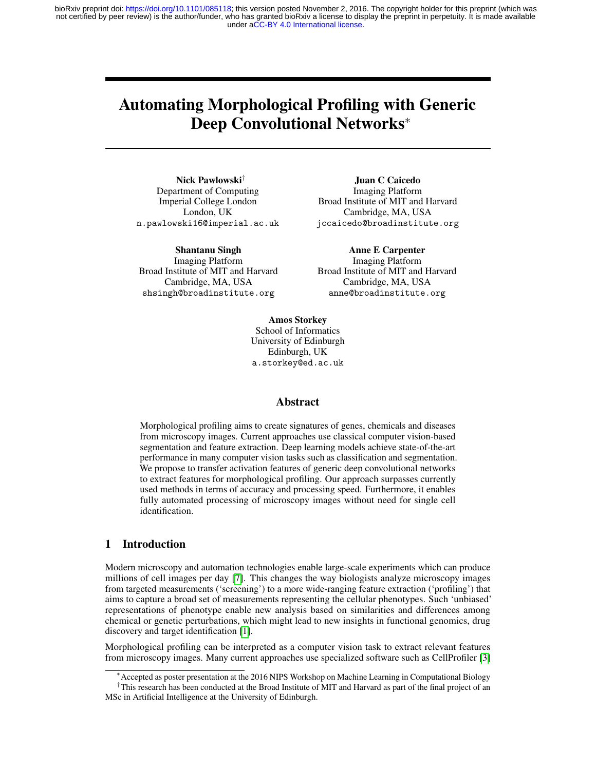under [aCC-BY 4.0 International license.](http://creativecommons.org/licenses/by/4.0/) not certified by peer review) is the author/funder, who has granted bioRxiv a license to display the preprint in perpetuity. It is made available bioRxiv preprint doi: [https://doi.org/10.1101/085118;](https://doi.org/10.1101/085118) this version posted November 2, 2016. The copyright holder for this preprint (which was

# Automating Morphological Profiling with Generic Deep Convolutional Networks<sup>∗</sup>

Nick Pawlowski† Department of Computing Imperial College London London, UK n.pawlowski16@imperial.ac.uk

Shantanu Singh Imaging Platform Broad Institute of MIT and Harvard Cambridge, MA, USA shsingh@broadinstitute.org

Juan C Caicedo Imaging Platform Broad Institute of MIT and Harvard Cambridge, MA, USA jccaicedo@broadinstitute.org

Anne E Carpenter Imaging Platform Broad Institute of MIT and Harvard Cambridge, MA, USA anne@broadinstitute.org

Amos Storkey

School of Informatics University of Edinburgh Edinburgh, UK a.storkey@ed.ac.uk

### Abstract

Morphological profiling aims to create signatures of genes, chemicals and diseases from microscopy images. Current approaches use classical computer vision-based segmentation and feature extraction. Deep learning models achieve state-of-the-art performance in many computer vision tasks such as classification and segmentation. We propose to transfer activation features of generic deep convolutional networks to extract features for morphological profiling. Our approach surpasses currently used methods in terms of accuracy and processing speed. Furthermore, it enables fully automated processing of microscopy images without need for single cell identification.

### 1 Introduction

Modern microscopy and automation technologies enable large-scale experiments which can produce millions of cell images per day [\[7\]](#page-4-0). This changes the way biologists analyze microscopy images from targeted measurements ('screening') to a more wide-ranging feature extraction ('profiling') that aims to capture a broad set of measurements representing the cellular phenotypes. Such 'unbiased' representations of phenotype enable new analysis based on similarities and differences among chemical or genetic perturbations, which might lead to new insights in functional genomics, drug discovery and target identification [\[1\]](#page-3-0).

Morphological profiling can be interpreted as a computer vision task to extract relevant features from microscopy images. Many current approaches use specialized software such as CellProfiler [\[3\]](#page-3-1)

<sup>∗</sup>Accepted as poster presentation at the 2016 NIPS Workshop on Machine Learning in Computational Biology

<sup>†</sup>This research has been conducted at the Broad Institute of MIT and Harvard as part of the final project of an MSc in Artificial Intelligence at the University of Edinburgh.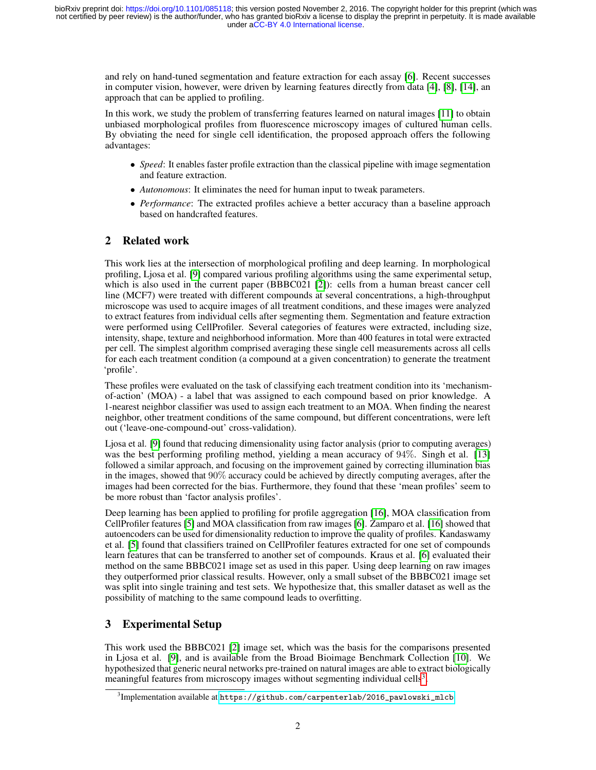and rely on hand-tuned segmentation and feature extraction for each assay [\[6\]](#page-3-2). Recent successes in computer vision, however, were driven by learning features directly from data [\[4\]](#page-3-3), [\[8\]](#page-4-1), [\[14\]](#page-4-2), an approach that can be applied to profiling.

In this work, we study the problem of transferring features learned on natural images [\[11\]](#page-4-3) to obtain unbiased morphological profiles from fluorescence microscopy images of cultured human cells. By obviating the need for single cell identification, the proposed approach offers the following advantages:

- *Speed*: It enables faster profile extraction than the classical pipeline with image segmentation and feature extraction.
- *Autonomous*: It eliminates the need for human input to tweak parameters.
- *Performance*: The extracted profiles achieve a better accuracy than a baseline approach based on handcrafted features.

# 2 Related work

This work lies at the intersection of morphological profiling and deep learning. In morphological profiling, Ljosa et al. [\[9\]](#page-4-4) compared various profiling algorithms using the same experimental setup, which is also used in the current paper (BBBC021 [\[2\]](#page-3-4)): cells from a human breast cancer cell line (MCF7) were treated with different compounds at several concentrations, a high-throughput microscope was used to acquire images of all treatment conditions, and these images were analyzed to extract features from individual cells after segmenting them. Segmentation and feature extraction were performed using CellProfiler. Several categories of features were extracted, including size, intensity, shape, texture and neighborhood information. More than 400 features in total were extracted per cell. The simplest algorithm comprised averaging these single cell measurements across all cells for each each treatment condition (a compound at a given concentration) to generate the treatment 'profile'.

These profiles were evaluated on the task of classifying each treatment condition into its 'mechanismof-action' (MOA) - a label that was assigned to each compound based on prior knowledge. A 1-nearest neighbor classifier was used to assign each treatment to an MOA. When finding the nearest neighbor, other treatment conditions of the same compound, but different concentrations, were left out ('leave-one-compound-out' cross-validation).

Ljosa et al. [\[9\]](#page-4-4) found that reducing dimensionality using factor analysis (prior to computing averages) was the best performing profiling method, yielding a mean accuracy of 94%. Singh et al. [\[13\]](#page-4-5) followed a similar approach, and focusing on the improvement gained by correcting illumination bias in the images, showed that 90% accuracy could be achieved by directly computing averages, after the images had been corrected for the bias. Furthermore, they found that these 'mean profiles' seem to be more robust than 'factor analysis profiles'.

Deep learning has been applied to profiling for profile aggregation [\[16\]](#page-4-6), MOA classification from CellProfiler features [\[5\]](#page-3-5) and MOA classification from raw images [\[6\]](#page-3-2). Zamparo et al. [\[16\]](#page-4-6) showed that autoencoders can be used for dimensionality reduction to improve the quality of profiles. Kandaswamy et al. [\[5\]](#page-3-5) found that classifiers trained on CellProfiler features extracted for one set of compounds learn features that can be transferred to another set of compounds. Kraus et al. [\[6\]](#page-3-2) evaluated their method on the same BBBC021 image set as used in this paper. Using deep learning on raw images they outperformed prior classical results. However, only a small subset of the BBBC021 image set was split into single training and test sets. We hypothesize that, this smaller dataset as well as the possibility of matching to the same compound leads to overfitting.

# 3 Experimental Setup

This work used the BBBC021 [\[2\]](#page-3-4) image set, which was the basis for the comparisons presented in Ljosa et al. [\[9\]](#page-4-4), and is available from the Broad Bioimage Benchmark Collection [\[10\]](#page-4-7). We hypothesized that generic neural networks pre-trained on natural images are able to extract biologically meaningful features from microscopy images without segmenting individual cells<sup>[3](#page-1-0)</sup>.

<span id="page-1-0"></span> $^3$ Implementation available at <code>[https://github.com/carpenterlab/2016\\_pawlowski\\_mlcb](https://github.com/carpenterlab/2016_pawlowski_mlcb)</code>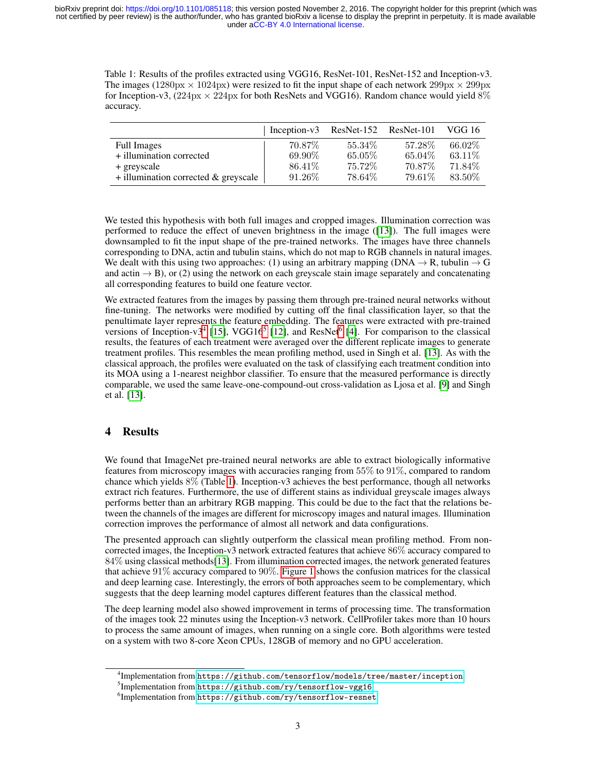<span id="page-2-3"></span>Table 1: Results of the profiles extracted using VGG16, ResNet-101, ResNet-152 and Inception-v3. The images ( $1280px \times 1024px$ ) were resized to fit the input shape of each network  $299px \times 299px$ for Inception-v3,  $(224px \times 224px$  for both ResNets and VGG16). Random chance would yield 8% accuracy.

|                                           | Inception-v3 | ResNet-152 | ResNet-101 | VGG 16  |
|-------------------------------------------|--------------|------------|------------|---------|
| <b>Full Images</b>                        | 70.87\%      | 55.34\%    | 57.28\%    | 66.02\% |
| + illumination corrected                  | 69.90%       | $65.05\%$  | 65.04\%    | 63.11\% |
| + greyscale                               | 86.41\%      | 75.72\%    | 70.87\%    | 71.84\% |
| $+$ illumination corrected $\&$ greyscale | 91.26\%      | 78.64%     | 79.61\%    | 83.50\% |

We tested this hypothesis with both full images and cropped images. Illumination correction was performed to reduce the effect of uneven brightness in the image ([\[13\]](#page-4-5)). The full images were downsampled to fit the input shape of the pre-trained networks. The images have three channels corresponding to DNA, actin and tubulin stains, which do not map to RGB channels in natural images. We dealt with this using two approaches: (1) using an arbitrary mapping (DNA  $\rightarrow$  R, tubulin  $\rightarrow$  G and actin  $\rightarrow$  B), or (2) using the network on each greyscale stain image separately and concatenating all corresponding features to build one feature vector.

We extracted features from the images by passing them through pre-trained neural networks without fine-tuning. The networks were modified by cutting off the final classification layer, so that the penultimate layer represents the feature embedding. The features were extracted with pre-trained versions of Inception-v3<sup>[4](#page-2-0)</sup> [\[15\]](#page-4-8), VGG16<sup>[5](#page-2-1)</sup> [\[12\]](#page-4-9), and ResNet<sup>[6](#page-2-2)</sup> [\[4\]](#page-3-3). For comparison to the classical results, the features of each treatment were averaged over the different replicate images to generate treatment profiles. This resembles the mean profiling method, used in Singh et al. [\[13\]](#page-4-5). As with the classical approach, the profiles were evaluated on the task of classifying each treatment condition into its MOA using a 1-nearest neighbor classifier. To ensure that the measured performance is directly comparable, we used the same leave-one-compound-out cross-validation as Ljosa et al. [\[9\]](#page-4-4) and Singh et al. [\[13\]](#page-4-5).

## 4 Results

We found that ImageNet pre-trained neural networks are able to extract biologically informative features from microscopy images with accuracies ranging from 55% to 91%, compared to random chance which yields 8% (Table [1\)](#page-2-3). Inception-v3 achieves the best performance, though all networks extract rich features. Furthermore, the use of different stains as individual greyscale images always performs better than an arbitrary RGB mapping. This could be due to the fact that the relations between the channels of the images are different for microscopy images and natural images. Illumination correction improves the performance of almost all network and data configurations.

The presented approach can slightly outperform the classical mean profiling method. From noncorrected images, the Inception-v3 network extracted features that achieve 86% accuracy compared to 84% using classical methods[\[13\]](#page-4-5). From illumination corrected images, the network generated features that achieve  $91\%$  accuracy compared to  $90\%$ . [Figure 1](#page-3-6) shows the confusion matrices for the classical and deep learning case. Interestingly, the errors of both approaches seem to be complementary, which suggests that the deep learning model captures different features than the classical method.

The deep learning model also showed improvement in terms of processing time. The transformation of the images took 22 minutes using the Inception-v3 network. CellProfiler takes more than 10 hours to process the same amount of images, when running on a single core. Both algorithms were tested on a system with two 8-core Xeon CPUs, 128GB of memory and no GPU acceleration.

<span id="page-2-0"></span> $^4$ Implementation from <code><https://github.com/tensorflow/models/tree/master/inception>.</code>

<span id="page-2-1"></span><sup>5</sup> Implementation from <https://github.com/ry/tensorflow-vgg16>.

<span id="page-2-2"></span> $^6$ Implementation from <https://github.com/ry/tensorflow-resnet>.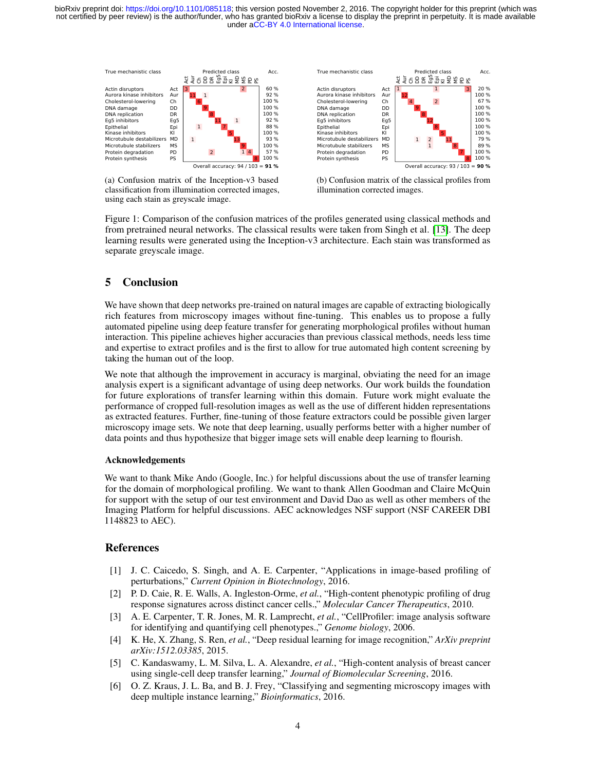under [aCC-BY 4.0 International license.](http://creativecommons.org/licenses/by/4.0/) not certified by peer review) is the author/funder, who has granted bioRxiv a license to display the preprint in perpetuity. It is made available bioRxiv preprint doi: [https://doi.org/10.1101/085118;](https://doi.org/10.1101/085118) this version posted November 2, 2016. The copyright holder for this preprint (which was

<span id="page-3-6"></span>

True mechanistic class **Acc.** Predicted class Acc. Act Aur ChDDDREg5 Epi KI MDMS PDPS 1 1 3 12  $\overline{2}$ 9 8 8 5 1 2 11 1 8 7 Actin disruptors Act Aurora kinase inhibitors Aur Cholesterol-lowering Ch<br>DNA damage DD DNA damage DD<br>
DNA replication DR<br>
Eg5 inhibitors Eg5 DNA replication DR Eg5 inhibitors Eg5 Epithelial Epithelial Epithelial Epithelial Epithelia<br>Kinase inhibitors Kl Kinase inhibitors KI Microtubule destabilizers MD<br>Microtubule stabilizers MS Microtubule stabilizers Protein degradation PD<br>Protein synthesis PS Protein synthesis 20 % 100 % 67 % 100 % 100 % 100 % 100 % 100 % 79 % 89 % 100 % 100 % Overall accuracy: 93 / 103 = **90 %**

(a) Confusion matrix of the Inception-v3 based classification from illumination corrected images, using each stain as greyscale image.



Figure 1: Comparison of the confusion matrices of the profiles generated using classical methods and from pretrained neural networks. The classical results were taken from Singh et al. [\[13\]](#page-4-5). The deep learning results were generated using the Inception-v3 architecture. Each stain was transformed as separate greyscale image.

### 5 Conclusion

We have shown that deep networks pre-trained on natural images are capable of extracting biologically rich features from microscopy images without fine-tuning. This enables us to propose a fully automated pipeline using deep feature transfer for generating morphological profiles without human interaction. This pipeline achieves higher accuracies than previous classical methods, needs less time and expertise to extract profiles and is the first to allow for true automated high content screening by taking the human out of the loop.

We note that although the improvement in accuracy is marginal, obviating the need for an image analysis expert is a significant advantage of using deep networks. Our work builds the foundation for future explorations of transfer learning within this domain. Future work might evaluate the performance of cropped full-resolution images as well as the use of different hidden representations as extracted features. Further, fine-tuning of those feature extractors could be possible given larger microscopy image sets. We note that deep learning, usually performs better with a higher number of data points and thus hypothesize that bigger image sets will enable deep learning to flourish.

### Acknowledgements

We want to thank Mike Ando (Google, Inc.) for helpful discussions about the use of transfer learning for the domain of morphological profiling. We want to thank Allen Goodman and Claire McQuin for support with the setup of our test environment and David Dao as well as other members of the Imaging Platform for helpful discussions. AEC acknowledges NSF support (NSF CAREER DBI 1148823 to AEC).

### References

- <span id="page-3-0"></span>[1] J. C. Caicedo, S. Singh, and A. E. Carpenter, "Applications in image-based profiling of perturbations," *Current Opinion in Biotechnology*, 2016.
- <span id="page-3-4"></span>[2] P. D. Caie, R. E. Walls, A. Ingleston-Orme, *et al.*, "High-content phenotypic profiling of drug response signatures across distinct cancer cells.," *Molecular Cancer Therapeutics*, 2010.
- <span id="page-3-1"></span>[3] A. E. Carpenter, T. R. Jones, M. R. Lamprecht, *et al.*, "CellProfiler: image analysis software for identifying and quantifying cell phenotypes.," *Genome biology*, 2006.
- <span id="page-3-3"></span>[4] K. He, X. Zhang, S. Ren, *et al.*, "Deep residual learning for image recognition," *ArXiv preprint arXiv:1512.03385*, 2015.
- <span id="page-3-5"></span>[5] C. Kandaswamy, L. M. Silva, L. A. Alexandre, *et al.*, "High-content analysis of breast cancer using single-cell deep transfer learning," *Journal of Biomolecular Screening*, 2016.
- <span id="page-3-2"></span>[6] O. Z. Kraus, J. L. Ba, and B. J. Frey, "Classifying and segmenting microscopy images with deep multiple instance learning," *Bioinformatics*, 2016.